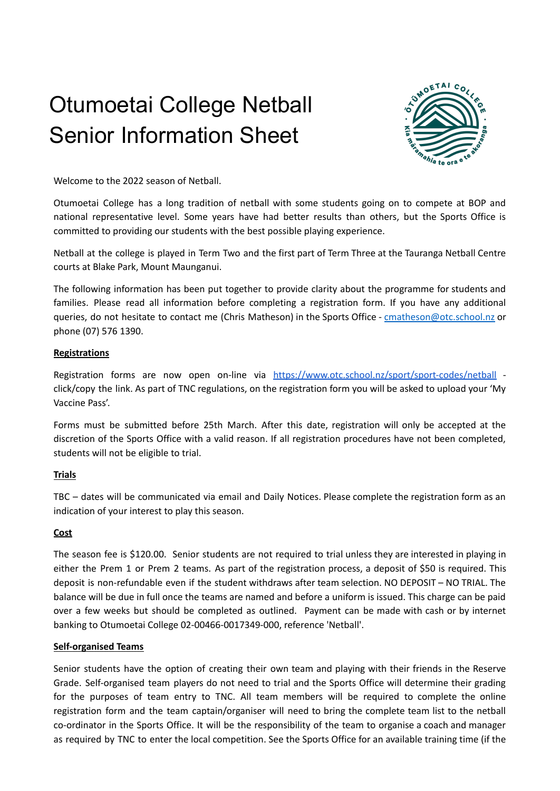# Otumoetai College Netball Senior Information Sheet



Welcome to the 2022 season of Netball.

Otumoetai College has a long tradition of netball with some students going on to compete at BOP and national representative level. Some years have had better results than others, but the Sports Office is committed to providing our students with the best possible playing experience.

Netball at the college is played in Term Two and the first part of Term Three at the Tauranga Netball Centre courts at Blake Park, Mount Maunganui.

The following information has been put together to provide clarity about the programme for students and families. Please read all information before completing a registration form. If you have any additional queries, do not hesitate to contact me (Chris Matheson) in the Sports Office - [cmatheson@otc.school.nz](mailto:cmatheson@otc.school.nz) or phone (07) 576 1390.

# **Registrations**

Registration forms are now open on-line via <https://www.otc.school.nz/sport/sport-codes/netball> click/copy the link. As part of TNC regulations, on the registration form you will be asked to upload your 'My Vaccine Pass'.

Forms must be submitted before 25th March. After this date, registration will only be accepted at the discretion of the Sports Office with a valid reason. If all registration procedures have not been completed, students will not be eligible to trial.

# **Trials**

TBC – dates will be communicated via email and Daily Notices. Please complete the registration form as an indication of your interest to play this season.

# **Cost**

The season fee is \$120.00. Senior students are not required to trial unless they are interested in playing in either the Prem 1 or Prem 2 teams. As part of the registration process, a deposit of \$50 is required. This deposit is non-refundable even if the student withdraws after team selection. NO DEPOSIT – NO TRIAL. The balance will be due in full once the teams are named and before a uniform is issued. This charge can be paid over a few weeks but should be completed as outlined. Payment can be made with cash or by internet banking to Otumoetai College 02-00466-0017349-000, reference 'Netball'.

# **Self-organised Teams**

Senior students have the option of creating their own team and playing with their friends in the Reserve Grade. Self-organised team players do not need to trial and the Sports Office will determine their grading for the purposes of team entry to TNC. All team members will be required to complete the online registration form and the team captain/organiser will need to bring the complete team list to the netball co-ordinator in the Sports Office. It will be the responsibility of the team to organise a coach and manager as required by TNC to enter the local competition. See the Sports Office for an available training time (if the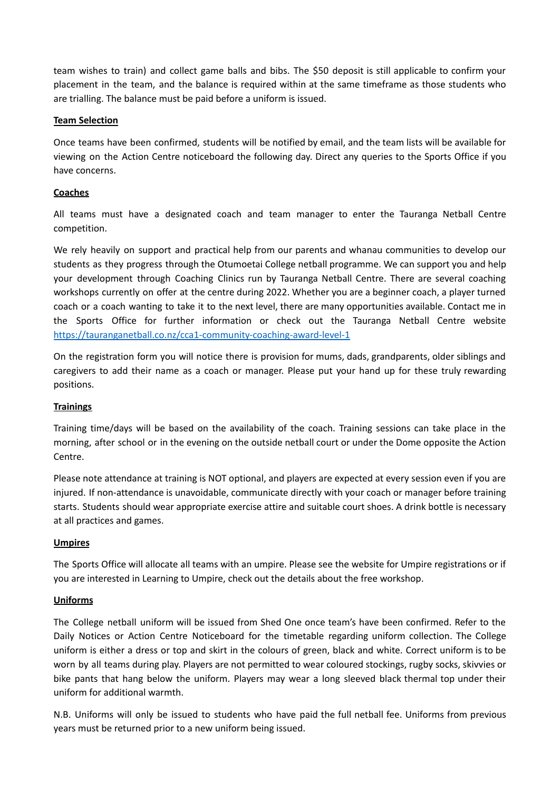team wishes to train) and collect game balls and bibs. The \$50 deposit is still applicable to confirm your placement in the team, and the balance is required within at the same timeframe as those students who are trialling. The balance must be paid before a uniform is issued.

# **Team Selection**

Once teams have been confirmed, students will be notified by email, and the team lists will be available for viewing on the Action Centre noticeboard the following day. Direct any queries to the Sports Office if you have concerns.

# **Coaches**

All teams must have a designated coach and team manager to enter the Tauranga Netball Centre competition.

We rely heavily on support and practical help from our parents and whanau communities to develop our students as they progress through the Otumoetai College netball programme. We can support you and help your development through Coaching Clinics run by Tauranga Netball Centre. There are several coaching workshops currently on offer at the centre during 2022. Whether you are a beginner coach, a player turned coach or a coach wanting to take it to the next level, there are many opportunities available. Contact me in the Sports Office for further information or check out the Tauranga Netball Centre website <https://tauranganetball.co.nz/cca1-community-coaching-award-level-1>

On the registration form you will notice there is provision for mums, dads, grandparents, older siblings and caregivers to add their name as a coach or manager. Please put your hand up for these truly rewarding positions.

# **Trainings**

Training time/days will be based on the availability of the coach. Training sessions can take place in the morning, after school or in the evening on the outside netball court or under the Dome opposite the Action Centre.

Please note attendance at training is NOT optional, and players are expected at every session even if you are injured. If non-attendance is unavoidable, communicate directly with your coach or manager before training starts. Students should wear appropriate exercise attire and suitable court shoes. A drink bottle is necessary at all practices and games.

# **Umpires**

The Sports Office will allocate all teams with an umpire. Please see the website for Umpire registrations or if you are interested in Learning to Umpire, check out the details about the free workshop.

# **Uniforms**

The College netball uniform will be issued from Shed One once team's have been confirmed. Refer to the Daily Notices or Action Centre Noticeboard for the timetable regarding uniform collection. The College uniform is either a dress or top and skirt in the colours of green, black and white. Correct uniform is to be worn by all teams during play. Players are not permitted to wear coloured stockings, rugby socks, skivvies or bike pants that hang below the uniform. Players may wear a long sleeved black thermal top under their uniform for additional warmth.

N.B. Uniforms will only be issued to students who have paid the full netball fee. Uniforms from previous years must be returned prior to a new uniform being issued.